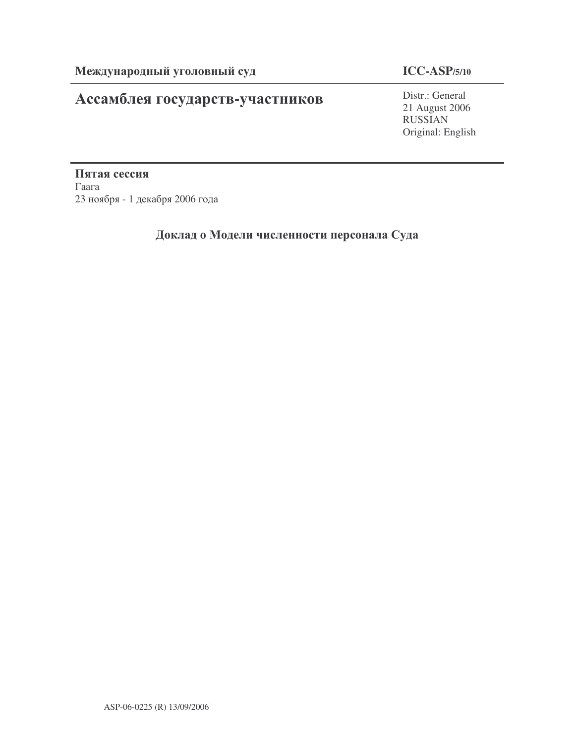# Ассамблея государств-участников

## **ICC-ASP/5/10**

Distr.: General 21 August 2006 RUSSIAN Original: English

Пятая сессия  $\Gamma$ аага 23 ноября - 1 декабря 2006 года

## Доклад о Модели численности персонала Суда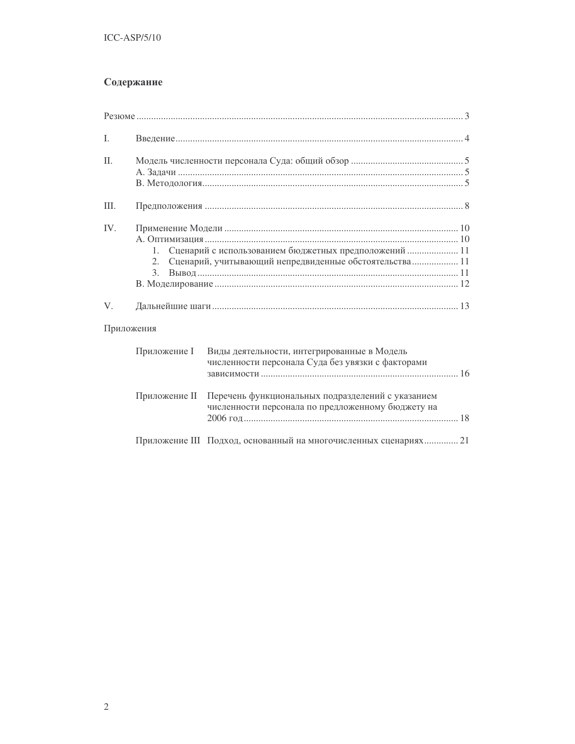## Содержание

| I.  |                                                                                                                                   |                                                                                                  |  |  |  |  |
|-----|-----------------------------------------------------------------------------------------------------------------------------------|--------------------------------------------------------------------------------------------------|--|--|--|--|
| Π.  |                                                                                                                                   |                                                                                                  |  |  |  |  |
| Ш.  |                                                                                                                                   |                                                                                                  |  |  |  |  |
| IV. | Сценарий с использованием бюджетных предположений  11<br>1.<br>Сценарий, учитывающий непредвиденные обстоятельства 11<br>2.<br>3. |                                                                                                  |  |  |  |  |
| V.  |                                                                                                                                   |                                                                                                  |  |  |  |  |
|     | Приложения                                                                                                                        |                                                                                                  |  |  |  |  |
|     | Приложение I                                                                                                                      | Виды деятельности, интегрированные в Модель<br>численности персонала Суда без увязки с факторами |  |  |  |  |
|     | Приложение II<br>Перечень функциональных подразделений с указанием<br>численности персонала по предложенному бюджету на           |                                                                                                  |  |  |  |  |
|     |                                                                                                                                   | Приложение III Подход, основанный на многочисленных сценариях 21                                 |  |  |  |  |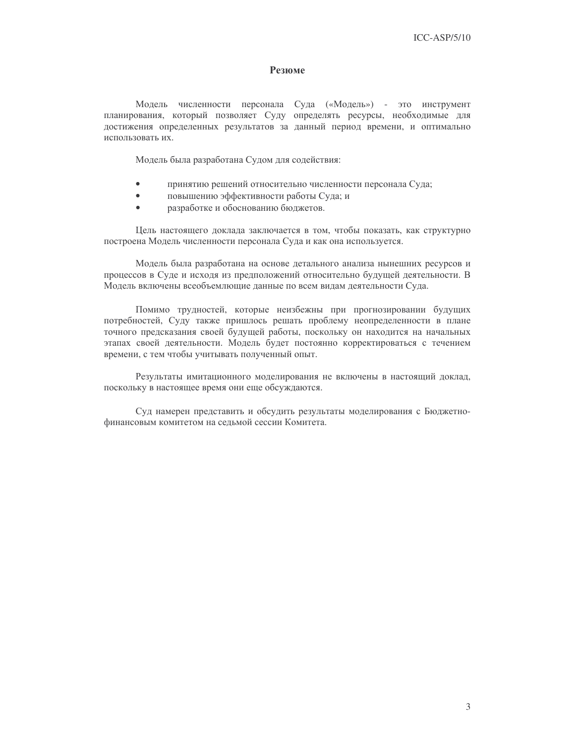### Резюме

Модель численности персонала Суда («Модель») - это инструмент планирования, который позволяет Суду определять ресурсы, необходимые для достижения определенных результатов за данный период времени, и оптимально использовать их.

Модель была разработана Судом для содействия:

- $\bullet$ принятию решений относительно численности персонала Суда;
- повышению эффективности работы Суда; и  $\blacksquare$
- разработке и обоснованию бюджетов.  $\bullet$

Цель настоящего доклада заключается в том, чтобы показать, как структурно построена Модель численности персонала Суда и как она используется.

Модель была разработана на основе детального анализа нынешних ресурсов и процессов в Суде и исходя из предположений относительно будущей деятельности. В Модель включены всеобъемлющие данные по всем видам деятельности Суда.

Помимо трудностей, которые неизбежны при прогнозировании будущих потребностей, Суду также пришлось решать проблему неопределенности в плане точного предсказания своей будущей работы, поскольку он находится на начальных этапах своей деятельности. Модель будет постоянно корректироваться с течением времени, с тем чтобы учитывать полученный опыт.

Результаты имитационного моделирования не включены в настоящий доклад, поскольку в настоящее время они еще обсуждаются.

Суд намерен представить и обсудить результаты моделирования с Бюджетнофинансовым комитетом на седьмой сессии Комитета.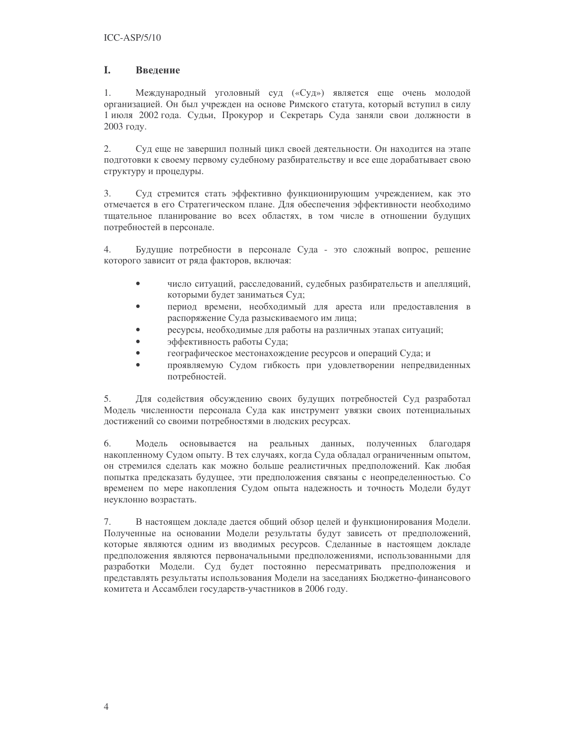#### $\mathbf{L}$ **Ввеление**

 $1$ Международный уголовный суд («Суд») является еще очень молодой организацией. Он был учрежден на основе Римского статута, который вступил в силу 1 июля 2002 года. Судьи, Прокурор и Секретарь Суда заняли свои должности в 2003 году.

2. Суд еще не завершил полный цикл своей деятельности. Он находится на этапе подготовки к своему первому судебному разбирательству и все еще дорабатывает свою структуру и процедуры.

 $3.$ Суд стремится стать эффективно функционирующим учреждением, как это отмечается в его Стратегическом плане. Для обеспечения эффективности необходимо тщательное планирование во всех областях, в том числе в отношении будущих потребностей в персонале.

 $\overline{4}$ . Будущие потребности в персонале Суда - это сложный вопрос, решение которого зависит от ряда факторов, включая:

- $\bullet$ число ситуаций, расследований, судебных разбирательств и апелляций, которыми будет заниматься Суд;
- период времени, необходимый для ареста или предоставления в  $\bullet$ распоряжение Суда разыскиваемого им лица;
- ресурсы, необходимые для работы на различных этапах ситуаций;
- $\bullet$ эффективность работы Суда;
- географическое местонахождение ресурсов и операций Суда; и  $\bullet$
- проявляемую Судом гибкость при удовлетворении непредвиденных потребностей.

Для содействия обсуждению своих будущих потребностей Суд разработал 5. Модель численности персонала Суда как инструмент увязки своих потенциальных достижений со своими потребностями в людских ресурсах.

6. Модель основывается на реальных данных, полученных благодаря накопленному Судом опыту. В тех случаях, когда Суда обладал ограниченным опытом, он стремился сделать как можно больше реалистичных предположений. Как любая попытка предсказать будущее, эти предположения связаны с неопределенностью. Со временем по мере накопления Судом опыта надежность и точность Модели будут неуклонно возрастать.

7. В настоящем докладе дается общий обзор целей и функционирования Модели. Полученные на основании Модели результаты будут зависеть от предположений, которые являются одним из вводимых ресурсов. Сделанные в настоящем докладе предположения являются первоначальными предположениями, использованными для разработки Модели. Суд будет постоянно пересматривать предположения и представлять результаты использования Модели на заседаниях Бюджетно-финансового комитета и Ассамблеи государств-участников в 2006 году.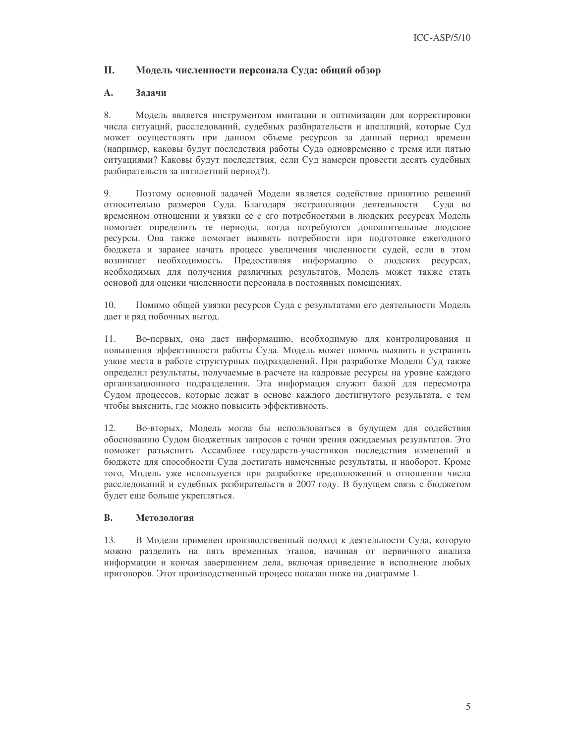#### **II.** Модель численности персонала Суда: общий обзор

#### $\mathbf{A}$ . Залачи

8. Модель является инструментом имитации и оптимизации для корректировки числа ситуаций, расследований, судебных разбирательств и апелляций, которые Суд может осуществлять при данном объеме ресурсов за данный период времени (например, каковы будут последствия работы Суда одновременно с тремя или пятью ситуациями? Каковы будут последствия, если Суд намерен провести десять судебных разбирательств за пятилетний период?).

9. Поэтому основной задачей Модели является содействие принятию решений относительно размеров Суда. Благодаря экстраполяции деятельности Суда во временном отношении и увязки ее с его потребностями в людских ресурсах Модель помогает определить те периоды, когда потребуются дополнительные людские ресурсы. Она также помогает выявить потребности при подготовке ежегодного бюджета и заранее начать процесс увеличения численности судей, если в этом возникнет необходимость. Предоставляя информацию о людских ресурсах, необходимых для получения различных результатов, Модель может также стать основой для оценки численности персонала в постоянных помещениях.

10. Помимо общей увязки ресурсов Суда с результатами его деятельности Модель дает и ряд побочных выгод.

 $11$ Во-первых, она дает информацию, необходимую для контролирования и повышения эффективности работы Суда. Модель может помочь выявить и устранить узкие места в работе структурных подразделений. При разработке Модели Суд также определил результаты, получаемые в расчете на кадровые ресурсы на уровне каждого организационного подразделения. Эта информация служит базой для пересмотра Судом процессов, которые лежат в основе каждого достигнутого результата, с тем чтобы выяснить, где можно повысить эффективность.

Во-вторых, Модель могла бы использоваться в будущем для содействия  $12.$ обоснованию Судом бюджетных запросов с точки зрения ожидаемых результатов. Это поможет разъяснить Ассамблее государств-участников последствия изменений в бюджете для способности Суда достигать намеченные результаты, и наоборот. Кроме того, Модель уже используется при разработке предположений в отношении числа расследований и судебных разбирательств в 2007 году. В будущем связь с бюджетом будет еще больше укрепляться.

#### $\mathbf{R}$ . Методология

 $13.$ В Модели применен производственный подход к деятельности Суда, которую можно разделить на пять временных этапов, начиная от первичного анализа информации и кончая завершением дела, включая приведение в исполнение любых приговоров. Этот производственный процесс показан ниже на диаграмме 1.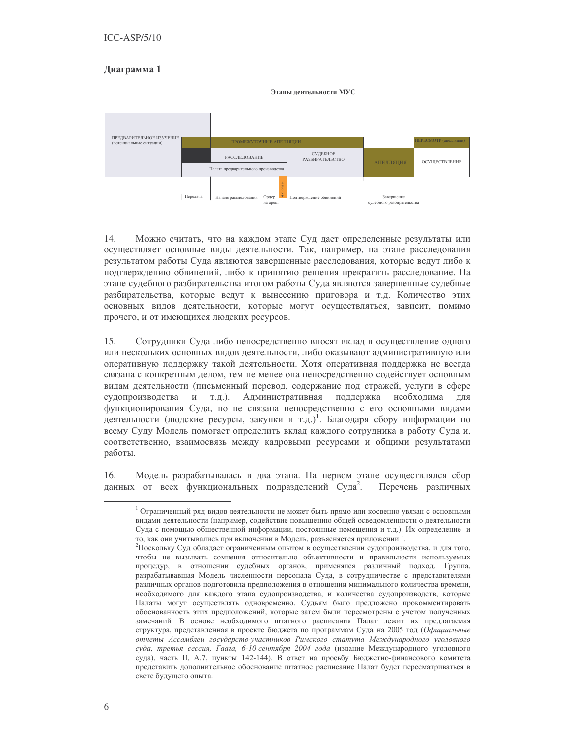### Диаграмма 1

Этапы леятельности МУС



14. Можно считать, что на каждом этапе Суд дает определенные результаты или осуществляет основные виды деятельности. Так, например, на этапе расследования результатом работы Суда являются завершенные расследования, которые ведут либо к подтверждению обвинений, либо к принятию решения прекратить расследование. На этапе судебного разбирательства итогом работы Суда являются завершенные судебные разбирательства, которые ведут к вынесению приговора и т.д. Количество этих основных видов деятельности, которые могут осуществляться, зависит, помимо прочего, и от имеющихся людских ресурсов.

15. Сотрудники Суда либо непосредственно вносят вклад в осуществление одного или нескольких основных видов деятельности, либо оказывают административную или оперативную поддержку такой деятельности. Хотя оперативная поддержка не всегда связана с конкретным делом, тем не менее она непосредственно содействует основным видам деятельности (письменный перевод, содержание под стражей, услуги в сфере судопроизводства и т.д.). Административная поддержка необходима **RILL** функционирования Суда, но не связана непосредственно с его основными видами деятельности (людские ресурсы, закупки и т.д.)<sup>1</sup>. Благодаря сбору информации по всему Суду Модель помогает определить вклад каждого сотрудника в работу Суда и, соответственно, взаимосвязь между кадровыми ресурсами и общими результатами работы.

16. Модель разрабатывалась в два этапа. На первом этапе осуществлялся сбор данных от всех функциональных подразделений Суда<sup>2</sup>. Перечень различных

 $1$  Ограниченный ряд видов деятельности не может быть прямо или косвенно увязан с основными видами деятельности (например, содействие повышению общей осведомленности о деятельности Суда с помощью общественной информации, постоянные помещения и т.д.). Их определение и то, как они учитывались при включении в Модель, разъясняется приложении I.

<sup>&</sup>lt;sup>2</sup>Поскольку Суд обладает ограниченным опытом в осуществлении судопроизводства, и для того, чтобы не вызывать сомнения относительно объективности и правильности используемых процедур, в отношении судебных органов, применялся различный подход. Группа, разрабатывавшая Модель численности персонала Суда, в сотрудничестве с представителями различных органов подготовила предположения в отношении минимального количества времени, необходимого для каждого этапа судопроизводства, и количества судопроизводств, которые Палаты могут осуществлять одновременно. Судьям было предложено прокомментировать обоснованность этих предположений, которые затем были пересмотрены с учетом полученных замечаний. В основе необходимого штатного расписания Палат лежит их предлагаемая структура, представленная в проекте бюджета по программам Суда на 2005 год (Официальные отчеты Ассамблеи государств-участников Римского статута Международного уголовного суда, третья сессия, Гаага, 6-10 сентября 2004 года (издание Международного уголовного суда), часть II, А.7, пункты 142-144). В ответ на просьбу Бюджетно-финансового комитета представить дополнительное обоснование штатное расписание Палат будет пересматриваться в свете будущего опыта.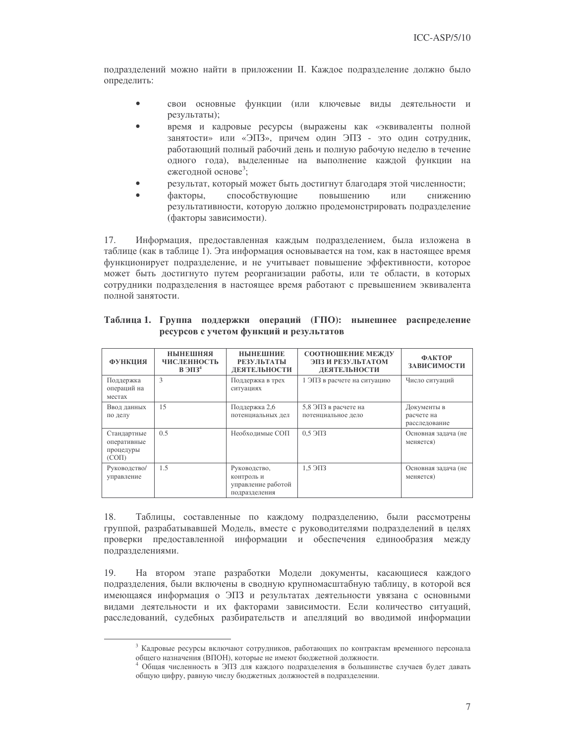подразделений можно найти в приложении II. Каждое подразделение должно было определить:

- свои основные функции (или ключевые виды деятельности и  $\bullet$ результаты);
- время и кадровые ресурсы (выражены как «эквиваленты полной занятости» или «ЭПЗ», причем один ЭПЗ - это один сотрудник, работающий полный рабочий день и полную рабочую неделю в течение одного года), выделенные на выполнение каждой функции на ежегодной основе<sup>3</sup>;
- результат, который может быть достигнут благодаря этой численности;
- способствующие факторы, повышению или снижению результативности, которую должно продемонстрировать подразделение (факторы зависимости).

 $17<sub>1</sub>$ Информация, предоставленная каждым подразделением, была изложена в таблице (как в таблице 1). Эта информация основывается на том, как в настоящее время функционирует подразделение, и не учитывает повышение эффективности, которое может быть достигнуто путем реорганизации работы, или те области, в которых сотрудники подразделения в настоящее время работают с превышением эквивалента полной занятости.

| <b>ФУНКЦИЯ</b>                                       | НЫНЕШНЯЯ<br><b>ЧИСЛЕННОСТЬ</b><br>$B \overline{\smash{\mathcal{B}73^4}}$ | <b>HISTHEINIE</b><br><b>РЕЗУЛЬТАТЫ</b><br>ДЕЯТЕЛЬНОСТИ            | СООТНОШЕНИЕ МЕЖДУ<br>ЭПЗ И РЕЗУЛЬТАТОМ<br>ДЕЯТЕЛЬНОСТИ | <b>ФАКТОР</b><br>ЗАВИСИМОСТИ               |
|------------------------------------------------------|--------------------------------------------------------------------------|-------------------------------------------------------------------|--------------------------------------------------------|--------------------------------------------|
| Поддержка<br>операций на<br>местах                   | 3                                                                        | Поддержка в трех<br>ситуациях                                     | 1 ЭПЗ в расчете на ситуацию                            | Число ситуаций                             |
| Ввод данных<br>по делу                               | 15                                                                       | Поддержка 2,6<br>потенциальных дел                                | 5,8 ЭПЗ в расчете на<br>потенциальное дело             | Документы в<br>расчете на<br>расследование |
| Стандартные<br>оперативные<br>процедуры<br>$(CO\Pi)$ | 0.5                                                                      | Необходимые СОП                                                   | $0.5 \Theta$ $\Pi$ 3                                   | Основная задача (не<br>меняется)           |
| Руководство/<br>управление                           | 1.5                                                                      | Руководство,<br>контроль и<br>управление работой<br>подразделения | $1.5 \overline{\smash{\big)}\ 3}$                      | Основная задача (не<br>меняется)           |

|  |                                         |  | Таблица 1. Группа поддержки операций (ГПО): нынешнее распределение |
|--|-----------------------------------------|--|--------------------------------------------------------------------|
|  | ресурсов с учетом функций и результатов |  |                                                                    |

18. Таблицы, составленные по каждому подразделению, были рассмотрены группой, разрабатывавшей Модель, вместе с руководителями подразделений в целях проверки предоставленной информации и обеспечения единообразия между подразделениями.

На втором этапе разработки Модели документы, касающиеся каждого 19 подразделения, были включены в сводную крупномасштабную таблицу, в которой вся имеющаяся информация о ЭПЗ и результатах деятельности увязана с основными видами деятельности и их факторами зависимости. Если количество ситуаций, расследований, судебных разбирательств и апелляций во вводимой информации

<sup>&</sup>lt;sup>3</sup> Кадровые ресурсы включают сотрудников, работающих по контрактам временного персонала общего назначения (ВПОН), которые не имеют бюджетной должности.

<sup>4</sup> Общая численность в ЭПЗ для каждого подразделения в большинстве случаев будет давать общую цифру, равную числу бюджетных должностей в подразделении.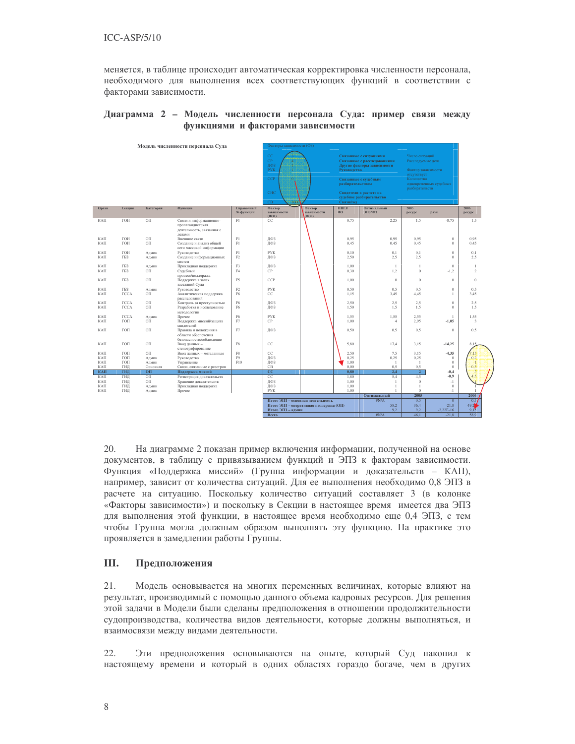меняется, в таблице происходит автоматическая корректировка численности персонала, необходимого для выполнения всех соответствующих функций в соответствии с факторами зависимости.

### Диаграмма 2 – Модель численности персонала Суда: пример связи между функциями и факторами зависимости

|                          |                            |                                         | Модель численности персонала Суда                                                     |                         | Факторы зависимости (ФЗ)             |                                                                             |                              |                                                                                     |                                                           |                                          |                                |
|--------------------------|----------------------------|-----------------------------------------|---------------------------------------------------------------------------------------|-------------------------|--------------------------------------|-----------------------------------------------------------------------------|------------------------------|-------------------------------------------------------------------------------------|-----------------------------------------------------------|------------------------------------------|--------------------------------|
|                          |                            |                                         |                                                                                       |                         | CC<br>CP<br>ДФ3<br><b>PYK</b>        |                                                                             | Руководство                  | Связанные с ситуациями<br>Связанные с расследованиями<br>Другие факторы зависимости | Число ситуаций<br>Расследуемые дела<br>Фактор зависимости |                                          |                                |
|                          |                            |                                         |                                                                                       |                         | <b>CCP</b>                           |                                                                             | разбирательством             | Связанные с судебным                                                                | отсутствует<br>Количество                                 | одновременных судебных                   |                                |
|                          |                            |                                         |                                                                                       |                         | <b>CHC</b><br>C <sub>B</sub><br>3330 |                                                                             | Связи/год                    | Свидетели в расчете на<br>судебное разбирательство                                  | разбирательств.                                           |                                          |                                |
| Орган                    | Секция                     | Категория                               | <b>Ф</b> ункции                                                                       | Справочный<br>№ функции | Фактор<br>зависимости<br>(Φ31)       | Фактор<br>зависимости<br>$(\Phi 32)$                                        | ншэ/<br>Ф3                   | Оптимальный<br>ЭПЗ*ФЗ                                                               | 2005<br>pecypc                                            | разн.                                    | 2006<br>pecypc                 |
| КАП                      | ГОИ                        | OIT                                     | Связи и информационно-<br>пропагандистская<br>деятельность, связанная с               | F1                      | CC                                   |                                                                             | 0.75                         | 2.25                                                                                | 1.5                                                       | $-0.75$                                  | 1.5                            |
| КАП<br>КАП               | ГОИ<br>ГОИ                 | OП<br>OП                                | лелами<br>Внешние связи<br>Создание и анализ общей<br>сети массовой информации        | F1<br>F1                | ДФЗ<br>ДФЗ                           |                                                                             | 0.95<br>0,45                 | 0.95<br>0,45                                                                        | 0.95<br>0.45                                              | $\mathbf{0}$<br>$\mathbf{0}$             | 0.95<br>0.45                   |
| KAIT<br>КАП              | ГОИ<br>ГБЗ                 | Админ<br>Админ                          | Руководство<br>Создание информационных<br>систем                                      | F1<br>F2                | <b>PVK</b><br>ДФЗ                    |                                                                             | 0.10<br>2.50                 | 0,1<br>2.5                                                                          | 0.1<br>2.5                                                | $\Omega$<br>$\mathbf{0}$                 | 0.1<br>2.5                     |
| КАП<br>КАП               | ГБ3<br>ГБ3                 | Алмин<br>OП                             | Прикладная поддержка<br>Судебный<br>процесс/поддержка                                 | F <sub>3</sub><br>FA    | ДФЗ<br>CP                            |                                                                             | 1.00<br>0.30                 | $\mathbf{1}$<br>1,2                                                                 | $\overline{1}$<br>$\theta$                                | $\theta$<br>$-1.2$                       | $\mathbf{1}$<br>$\mathfrak{D}$ |
| КАП                      | ГБ3                        | OП                                      | Поддержка в залах<br>заседаний Суда                                                   | F <sub>5</sub>          | CCP                                  |                                                                             | 1.00                         | $\theta$                                                                            | $\theta$                                                  | $\Omega$                                 | $\Omega$                       |
| КАП<br>КАП               | ГБ3<br><b>TCCA</b>         | Алмин<br>OП                             | Руководство<br>Аналитическая поддержка<br>расследований                               | F2<br>F <sub>6</sub>    | <b>PYK</b><br>CC                     |                                                                             | 0.50<br>1.15                 | 0.5<br>3.45                                                                         | 0.5<br>4.45                                               | $\overline{0}$<br>$\mathbf{1}$           | 0.5<br>3.45                    |
| КАП<br>КАП               | <b>TCCA</b><br><b>TCCA</b> | $\mathcal{O}\Pi$<br>OП                  | Контроль за преступностью<br>Разработка и исследование<br>методологии                 | F6<br>F <sub>6</sub>    | ДФЗ<br>ДФЗ                           |                                                                             | 2,50<br>1.50                 | 2.5<br>1.5                                                                          | 2.5<br>1.5                                                | $\theta$<br>$\Omega$                     | 2.5<br>1.5                     |
| КАП<br>КАП               | <b>TCCA</b><br>ГОП         | Алмин<br>OП                             | Прочее<br>Поддержка миссий/защита<br>свидетелей                                       | F <sub>6</sub><br>F7    | <b>PYK</b><br><b>CP</b>              |                                                                             | 1.55<br>1.00                 | 1,55<br>4                                                                           | 2.55<br>2.95                                              | 1<br>$-1,05$                             | 1.55<br>$\overline{3}$         |
| КАП                      | ГОП                        | OП                                      | Правила и положения в<br>области обеспечения<br>безопасности/соблюдение               | F7                      | ЛФЗ                                  |                                                                             | 0.50                         | 0.5                                                                                 | 0.5                                                       | $\theta$                                 | 0.5                            |
| КАП                      | ГОП                        | OП                                      | Ввод данных -<br>стенографирование                                                    | F8                      | CC                                   |                                                                             | 5.80                         | 17,4                                                                                | 3.15                                                      | $-14,25$                                 | 8.15                           |
| КАП<br>КАП<br>КАП        | ГОП<br>ГОП<br>ГОП          | OП<br>Алмин<br>Админ                    | Ввод данных - метаданные<br>Руководство<br>Управление                                 | F8<br>F9<br>F10         | CC<br>ДФЗ<br>ДФЗ                     |                                                                             | 2.50<br>0.25<br>1,00         | 7.5<br>0.25<br>$\overline{1}$                                                       | 3.15<br>0.25<br>$\overline{1}$                            | $-4,35$<br>$\theta$<br>$\theta$          | 15<br>0.2<br>n                 |
| КАП<br>КАП               | ГИД<br>ГИЛ                 | Основная<br>O <sub>H</sub>              | Связи, связанные с реестром<br>Поддержка миссий                                       |                         | CB<br>$\overline{cc}$                |                                                                             | 0.00<br>0.80                 | 0.5<br>2.4                                                                          | 0.5<br>$\overline{2}$                                     | $\theta$<br>$-0,4$                       | 0.5<br>s                       |
| КАП<br>КАП<br>КАП<br>КАП | ГИД<br>ГИЛ<br>ГИЛ<br>ГИЛ   | O <sub>II</sub><br>OП<br>Алмин<br>Алмин | Регистрация доказательств<br>Хранение доказательств<br>Прикладная поддержка<br>Прочее |                         | CC<br>ДФЗ<br>ДФЗ<br><b>PYK</b>       |                                                                             | 1.80<br>1.00<br>1.00<br>1.00 | 5.4<br>$\mathbf{1}$<br>$\mathbf{1}$                                                 | 4.5<br>$\theta$<br>$\overline{1}$<br>$\theta$             | $-0.9$<br>$-1$<br>$\theta$<br>$-1$       |                                |
|                          |                            |                                         |                                                                                       |                         |                                      |                                                                             |                              | Оптимальный                                                                         | 2005                                                      |                                          | 2006                           |
|                          |                            |                                         |                                                                                       |                         | Итого ЭПЗ - алмин                    | Итого ЭПЗ - основная деятельность<br>Итого ЭПЗ - оперативная поддержка (ОП) |                              | #N/A<br>58.2<br>9.2                                                                 | 0.5<br>36.4<br>9.2                                        | $\overline{0}$<br>$-21.8$<br>$-2.22E-16$ | 0.51<br>49.2<br>9.15           |
|                          |                            |                                         |                                                                                       |                         | <b>Bcero</b>                         |                                                                             |                              | #N/A                                                                                | 46.1                                                      | $-21.8$                                  | 58.9                           |

 $20.$ диаграмме 2 показан пример включения информации, полученной на основе документов, в таблицу с привязыванием функций и ЭПЗ к факторам зависимости. Функция «Поддержка миссий» (Группа информации и доказательств – КАП), например, зависит от количества ситуаций. Для ее выполнения необходимо 0,8 ЭПЗ в расчете на ситуацию. Поскольку количество ситуаций составляет 3 (в колонке «Факторы зависимости») и поскольку в Секции в настоящее время имеется два ЭПЗ для выполнения этой функции, в настоящее время необходимо еще 0,4 ЭПЗ, с тем чтобы Группа могла должным образом выполнять эту функцию. На практике это проявляется в замедлении работы Группы.

### **III.** Предположения

21. Модель основывается на многих переменных величинах, которые влияют на результат, производимый с помощью данного объема кадровых ресурсов. Для решения этой задачи в Модели были сделаны предположения в отношении продолжительности судопроизводства, количества видов деятельности, которые должны выполняться, и взаимосвязи между видами деятельности.

22. Эти предположения основываются на опыте, который Суд накопил к настоящему времени и который в одних областях гораздо богаче, чем в других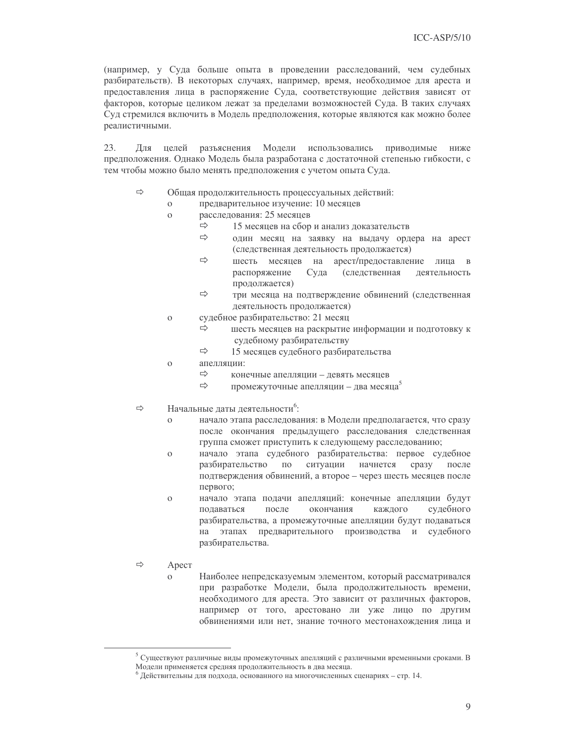(например, у Суда больше опыта в проведении расследований, чем судебных разбирательств). В некоторых случаях, например, время, необходимое для ареста и предоставления лица в распоряжение Суда, соответствующие действия зависят от факторов, которые целиком лежат за пределами возможностей Суда. В таких случаях Суд стремился включить в Модель предположения, которые являются как можно более реалистичными.

 $23$ Для целей разъяснения Модели использовались приводимые ниже предположения. Однако Модель была разработана с достаточной степенью гибкости, с тем чтобы можно было менять предположения с учетом опыта Суда.

- $\Rightarrow$ Общая продолжительность процессуальных действий:
	- предварительное изучение: 10 месяцев  $\Omega$
	- расследования: 25 месяцев  $\Omega$ 
		- $\Rightarrow$ 15 месяцев на сбор и анализ доказательств
		- $\Rightarrow$ один месяц на заявку на выдачу ордера на арест (следственная деятельность продолжается)
		- $\Rightarrow$ шесть месяцев на арест/предоставление лица в распоряжение Суда (следственная деятельность продолжается)
		- $\Rightarrow$ три месяца на подтверждение обвинений (следственная деятельность продолжается)
	- судебное разбирательство: 21 месяц  $\mathbf{o}$ 
		- $\Rightarrow$ шесть месяцев на раскрытие информации и подготовку к судебному разбирательству
		- $\Rightarrow$ 15 месяцев судебного разбирательства
	- апелляции:  $\Omega$ 
		- $\Rightarrow$ конечные апелляции - девять месяцев
		- $\Rightarrow$ промежуточные апелляции - два месяца<sup>5</sup>
- $\Rightarrow$ Начальные даты деятельности<sup>6</sup>:
	- начало этапа расследования: в Модели предполагается, что сразу  $\Omega$ после окончания предыдущего расследования следственная группа сможет приступить к следующему расследованию;
	- $\overline{O}$ начало этапа судебного разбирательства: первое судебное разбирательство  $\Pi 0$ ситуации начнется сразу после подтверждения обвинений, а второе - через шесть месяцев после первого;
	- начало этапа полачи апелляний: конечные апеллянии булут  $\Omega$ полаваться после окончания каждого судебного разбирательства, а промежуточные апелляции будут подаваться на этапах предварительного производства и судебного разбирательства.
- $\Rightarrow$ Apect
	- Наиболее непредсказуемым элементом, который рассматривался  $\Omega$ при разработке Модели, была продолжительность времени, необходимого для ареста. Это зависит от различных факторов, например от того, арестовано ли уже лицо по другим обвинениями или нет, знание точного местонахождения лица и

<sup>&</sup>lt;sup>5</sup> Существуют различные виды промежуточных апелляций с различными временными сроками. В Модели применяется средняя продолжительность в два месяца.

 $^6$  Действительны для подхода, основанного на многочисленных сценариях - стр. 14.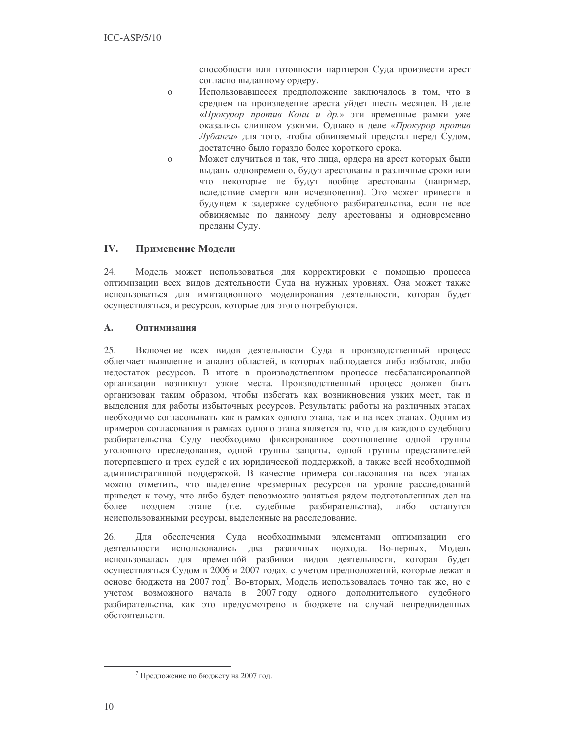способности или готовности партнеров Суда произвести арест согласно выданному ордеру.

- Использовавшееся предположение заключалось в том, что в  $\mathbf{o}$ среднем на произведение ареста уйдет шесть месяцев. В деле «Прокурор против Кони и др.» эти временные рамки уже оказались слишком узкими. Однако в деле «Прокурор против Лубанги» для того, чтобы обвиняемый предстал перед Судом, достаточно было гораздо более короткого срока.
- $\mathbf{o}$ Может случиться и так, что лица, ордера на арест которых были выданы одновременно, будут арестованы в различные сроки или что некоторые не будут вообще арестованы (например, вследствие смерти или исчезновения). Это может привести в будущем к задержке судебного разбирательства, если не все обвиняемые по данному делу арестованы и одновременно преданы Суду.

#### IV. Применение Модели

24. Модель может использоваться для корректировки с помощью процесса оптимизации всех видов деятельности Суда на нужных уровнях. Она может также использоваться для имитационного моделирования деятельности, которая будет осуществляться, и ресурсов, которые для этого потребуются.

#### $\mathbf{A}$ . Оптимизания

25. Включение всех видов деятельности Суда в производственный процесс облегчает выявление и анализ областей, в которых наблюдается либо избыток, либо недостаток ресурсов. В итоге в производственном процессе несбалансированной организации возникнут узкие места. Производственный процесс должен быть организован таким образом, чтобы избегать как возникновения узких мест, так и выделения для работы избыточных ресурсов. Результаты работы на различных этапах необходимо согласовывать как в рамках одного этапа, так и на всех этапах. Одним из примеров согласования в рамках одного этапа является то, что для каждого судебного разбирательства Суду необходимо фиксированное соотношение одной группы уголовного преследования, одной группы защиты, одной группы представителей потерпевшего и трех судей с их юридической поддержкой, а также всей необходимой административной поддержкой. В качестве примера согласования на всех этапах можно отметить, что выделение чрезмерных ресурсов на уровне расследований приведет к тому, что либо будет невозможно заняться рядом подготовленных дел на более позднем этапе (т.е. судебные разбирательства), либо останутся неиспользованными ресурсы, выделенные на расследование.

26. Для обеспечения Суда необходимыми элементами оптимизации его деятельности использовались два различных подхода. Во-первых, Модель использовалась для временной разбивки видов деятельности, которая будет осуществляться Судом в 2006 и 2007 годах, с учетом предположений, которые лежат в основе бюджета на 2007 год<sup>7</sup>. Во-вторых, Модель использовалась точно так же, но с учетом возможного начала в 2007 году одного дополнительного судебного разбирательства, как это предусмотрено в бюджете на случай непредвиденных обстоятельств.

<sup>7</sup> Предложение по бюджету на 2007 год.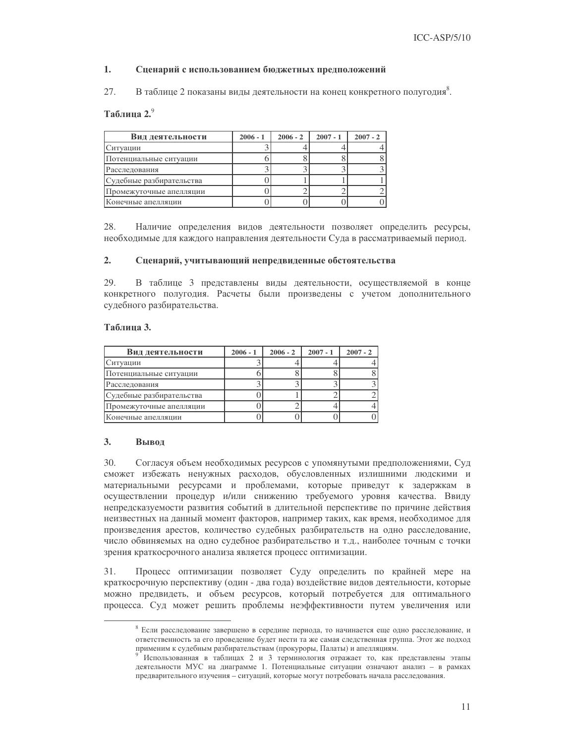#### $\mathbf{1}$ . Сценарий с использованием бюджетных предположений

27. В таблице 2 показаны виды деятельности на конец конкретного полугодия<sup>8</sup>.

### Таблица 2.9

| Вид деятельности         | $2006 - 1$ | $2006 - 2$ | $2007 - 1$ | $2007 - 2$ |
|--------------------------|------------|------------|------------|------------|
| Ситуации                 |            |            |            |            |
| Потенциальные ситуации   |            |            |            |            |
| Расследования            |            |            |            |            |
| Судебные разбирательства |            |            |            |            |
| Промежуточные апелляции  |            |            |            |            |
| Конечные апелляции       |            |            |            |            |

28 Наличие определения видов деятельности позволяет определить ресурсы, необходимые для каждого направления деятельности Суда в рассматриваемый период.

#### $2.$ Сценарий, учитывающий непредвиденные обстоятельства

29. В таблице 3 представлены виды деятельности, осуществляемой в конце конкретного полугодия. Расчеты были произведены с учетом дополнительного судебного разбирательства.

### Таблина 3.

| Вид деятельности         | $2006 - 1$ | $2006 - 2$ | $2007 - 1$ | $2007 - 2$ |
|--------------------------|------------|------------|------------|------------|
| Ситуации                 |            |            |            |            |
| Потенциальные ситуации   |            |            |            |            |
| Расследования            |            |            |            |            |
| Судебные разбирательства |            |            |            |            |
| Промежуточные апелляции  |            |            |            |            |
| Конечные апелляции       |            |            |            |            |

#### 3. Вывол

 $30.$ Согласуя объем необходимых ресурсов с упомянутыми предположениями, Суд сможет избежать ненужных расходов, обусловленных излишними людскими и материальными ресурсами и проблемами, которые приведут к задержкам в осуществлении процедур и/или снижению требуемого уровня качества. Ввиду непредсказуемости развития событий в длительной перспективе по причине действия неизвестных на данный момент факторов, например таких, как время, необходимое для произведения арестов, количество судебных разбирательств на одно расследование, число обвиняемых на одно судебное разбирательство и т.д., наиболее точным с точки зрения краткосрочного анализа является процесс оптимизации.

Процесс оптимизации позволяет Суду определить по крайней мере на 31. краткосрочную перспективу (один - два года) воздействие видов деятельности, которые можно предвидеть, и объем ресурсов, который потребуется для оптимального процесса. Суд может решить проблемы неэффективности путем увеличения или

 $8$  Если расследование завершено в середине периода, то начинается еще одно расследование, и ответственность за его проведение будет нести та же самая следственная группа. Этот же подход применим к судебным разбирательствам (прокуроры, Палаты) и апелляциям.

<sup>&</sup>lt;sup>9</sup> Использованная в таблицах 2 и 3 терминология отражает то, как представлены этапы деятельности МУС на диаграмме 1. Потенциальные ситуации означают анализ - в рамках предварительного изучения - ситуаций, которые могут потребовать начала расследования.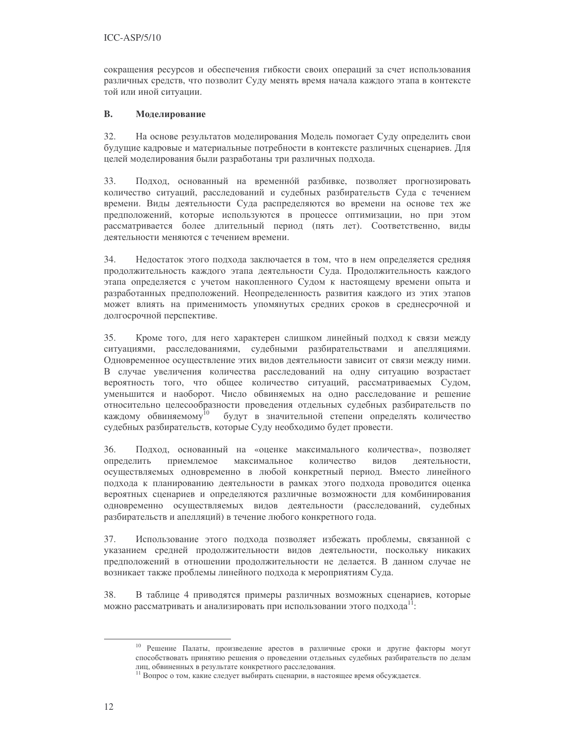сокращения ресурсов и обеспечения гибкости своих операций за счет использования различных средств, что позволит Суду менять время начала каждого этапа в контексте той или иной ситуации.

#### **B.** Моделирование

32. На основе результатов моделирования Модель помогает Суду определить свои будущие кадровые и материальные потребности в контексте различных сценариев. Для целей моделирования были разработаны три различных подхода.

33. Подход, основанный на временной разбивке, позволяет прогнозировать количество ситуаций, расследований и судебных разбирательств Суда с течением времени. Виды деятельности Суда распределяются во времени на основе тех же предположений, которые используются в процессе оптимизации, но при этом рассматривается более длительный период (пять лет). Соответственно, виды деятельности меняются с течением времени.

34. Недостаток этого подхода заключается в том, что в нем определяется средняя продолжительность каждого этапа деятельности Суда. Продолжительность каждого этапа определяется с учетом накопленного Судом к настоящему времени опыта и разработанных предположений. Неопределенность развития каждого из этих этапов может влиять на применимость упомянутых средних сроков в среднесрочной и долгосрочной перспективе.

35. Кроме того, для него характерен слишком линейный подход к связи между ситуациями, расследованиями, судебными разбирательствами и апелляциями. Одновременное осуществление этих видов деятельности зависит от связи между ними. В случае увеличения количества расследований на одну ситуацию возрастает вероятность того, что общее количество ситуаций, рассматриваемых Судом, уменьшится и наоборот. Число обвиняемых на одно расследование и решение относительно целесообразности проведения отдельных судебных разбирательств по каждому обвиняемому<sup>10</sup> будут в значительной степени определять количество судебных разбирательств, которые Суду необходимо будет провести.

Подход, основанный на «оценке максимального количества», позволяет 36. определить приемлемое максимальное количество видов деятельности. осуществляемых одновременно в любой конкретный период. Вместо линейного подхода к планированию деятельности в рамках этого подхода проводится оценка вероятных сценариев и определяются различные возможности для комбинирования одновременно осуществляемых видов деятельности (расследований, судебных разбирательств и апелляций) в течение любого конкретного года.

37. Использование этого подхода позволяет избежать проблемы, связанной с указанием средней продолжительности видов деятельности, поскольку никаких предположений в отношении продолжительности не делается. В данном случае не возникает также проблемы линейного подхода к мероприятиям Суда.

38. В таблице 4 приводятся примеры различных возможных сценариев, которые можно рассматривать и анализировать при использовании этого подхода<sup>11</sup>:

<sup>10</sup> Решение Палаты, произведение арестов в различные сроки и другие факторы могут способствовать принятию решения о проведении отдельных судебных разбирательств по делам лиц, обвиненных в результате конкретного расследования.

<sup>11</sup> Вопрос о том, какие следует выбирать сценарии, в настоящее время обсуждается.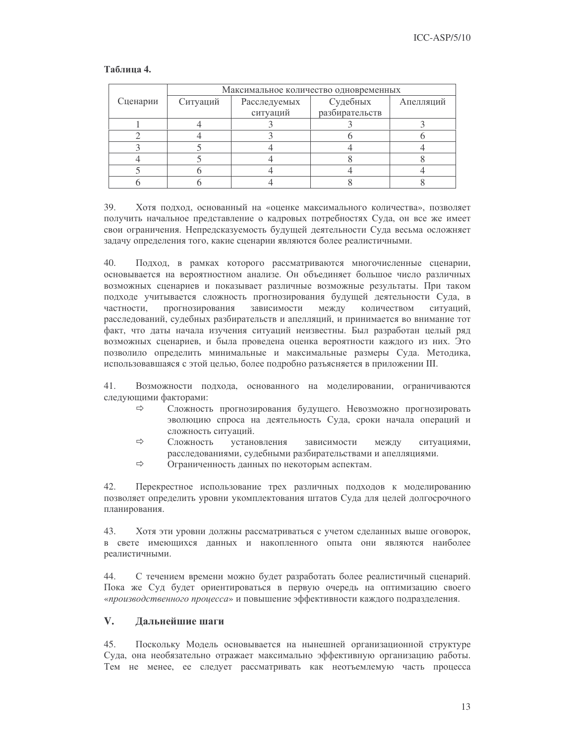|          | Максимальное количество одновременных |              |                |           |  |  |  |
|----------|---------------------------------------|--------------|----------------|-----------|--|--|--|
| Сценарии | Ситуаций                              | Расследуемых | Судебных       | Апелляций |  |  |  |
|          |                                       | ситуаций     | разбирательств |           |  |  |  |
|          |                                       |              |                |           |  |  |  |
|          |                                       |              |                |           |  |  |  |
|          |                                       |              |                |           |  |  |  |
|          |                                       |              |                |           |  |  |  |
|          |                                       |              |                |           |  |  |  |
|          |                                       |              |                |           |  |  |  |

### Таблина 4.

39. Хотя подход, основанный на «оценке максимального количества», позволяет получить начальное представление о кадровых потребностях Суда, он все же имеет свои ограничения. Непредсказуемость будущей деятельности Суда весьма осложняет задачу определения того, какие сценарии являются более реалистичными.

40. Подход, в рамках которого рассматриваются многочисленные сценарии, основывается на вероятностном анализе. Он объединяет большое число различных возможных сценариев и показывает различные возможные результаты. При таком подходе учитывается сложность прогнозирования будущей деятельности Суда, в частности. прогнозирования зависимости между количеством ситуаций, расследований, судебных разбирательств и апелляций, и принимается во внимание тот факт, что даты начала изучения ситуаций неизвестны. Был разработан целый ряд возможных сценариев, и была проведена оценка вероятности каждого из них. Это позволило определить минимальные и максимальные размеры Суда. Методика, использовавшаяся с этой целью, более подробно разъясняется в приложении III.

Возможности подхода, основанного на моделировании, ограничиваются 41. следующими факторами:

- $\Rightarrow$ Сложность прогнозирования будущего. Невозможно прогнозировать эволюцию спроса на деятельность Суда, сроки начала операций и сложность ситуаций.
- $\Rightarrow$ Сложность установления зависимости между ситуациями, расследованиями, судебными разбирательствами и апелляциями.
- $\Rightarrow$ Ограниченность данных по некоторым аспектам.

42. Перекрестное использование трех различных подходов к моделированию позволяет определить уровни укомплектования штатов Суда для целей долгосрочного планирования.

43. Хотя эти уровни должны рассматриваться с учетом сделанных выше оговорок, в свете имеющихся данных и накопленного опыта они являются наиболее реалистичными.

С течением времени можно будет разработать более реалистичный сценарий. 44 Пока же Суд будет ориентироваться в первую очередь на оптимизацию своего «производственного процесса» и повышение эффективности каждого подразделения.

#### $V_{\bullet}$ Дальнейшие шаги

 $45.$ Поскольку Модель основывается на нынешней организационной структуре Суда, она необязательно отражает максимально эффективную организацию работы. Тем не менее, ее следует рассматривать как неотъемлемую часть процесса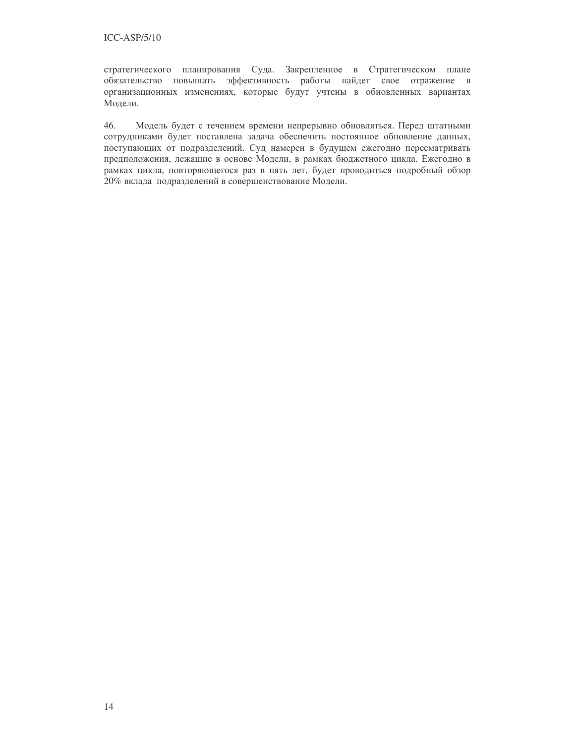стратегического планирования Суда. Закрепленное в Стратегическом плане обязательство повышать эффективность работы найдет свое отражение в организационных изменениях, которые будут учтены в обновленных вариантах Модели.

46. Модель будет с течением времени непрерывно обновляться. Перед штатными сотрудниками будет поставлена задача обеспечить постоянное обновление данных, поступающих от подразделений. Суд намерен в будущем ежегодно пересматривать предположения, лежащие в основе Модели, в рамках бюджетного цикла. Ежегодно в рамках цикла, повторяющегося раз в пять лет, будет проводиться подробный обзор 20% вклада подразделений в совершенствование Модели.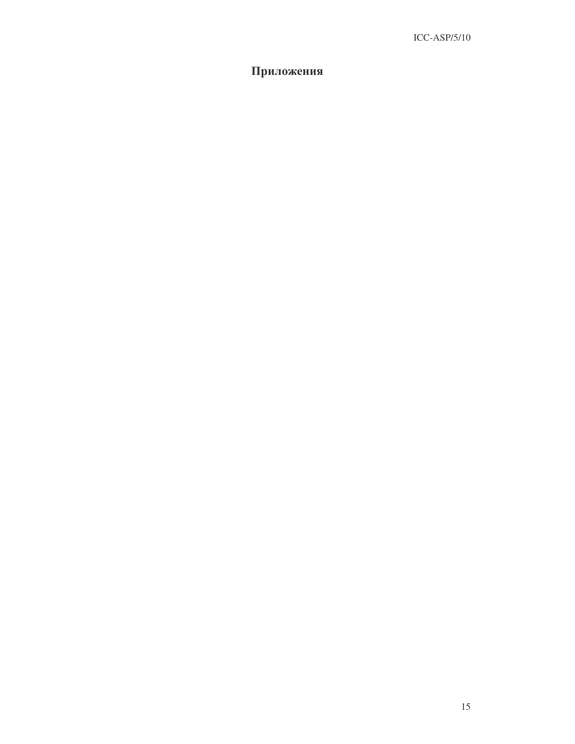### Приложения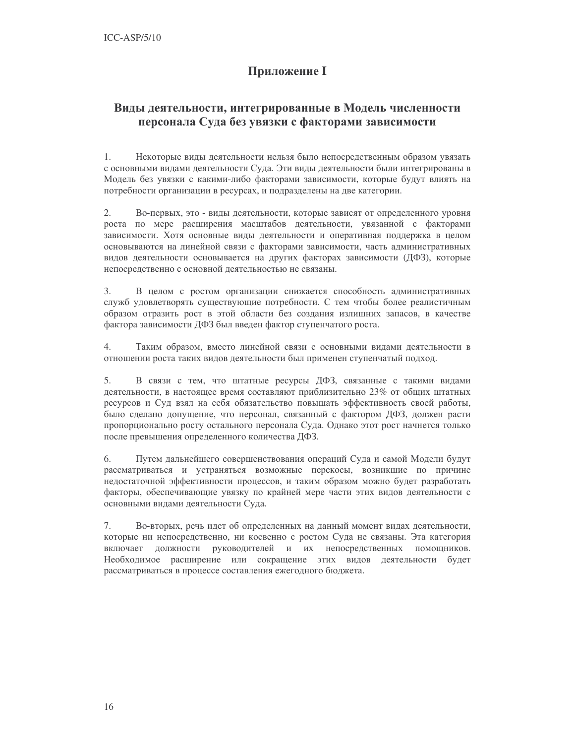## **Приложение I**

## Виды деятельности, интегрированные в Модель численности персонала Суда без увязки с факторами зависимости

 $1.$ Некоторые виды деятельности нельзя было непосредственным образом увязать с основными видами деятельности Суда. Эти виды деятельности были интегрированы в Модель без увязки с какими-либо факторами зависимости, которые будут влиять на потребности организации в ресурсах, и подразделены на две категории.

 $2.$ Во-первых, это - виды деятельности, которые зависят от определенного уровня роста по мере расширения масштабов деятельности, увязанной с факторами зависимости. Хотя основные виды деятельности и оперативная поддержка в целом основываются на линейной связи с факторами зависимости, часть административных видов деятельности основывается на других факторах зависимости (ДФЗ), которые непосредственно с основной деятельностью не связаны.

В целом с ростом организации снижается способность административных  $3.$ служб удовлетворять существующие потребности. С тем чтобы более реалистичным образом отразить рост в этой области без создания излишних запасов, в качестве фактора зависимости ДФЗ был введен фактор ступенчатого роста.

 $4.$ Таким образом, вместо линейной связи с основными видами деятельности в отношении роста таких видов деятельности был применен ступенчатый подход.

В связи с тем, что штатные ресурсы ДФЗ, связанные с такими видами 5. деятельности, в настоящее время составляют приблизительно 23% от общих штатных ресурсов и Суд взял на себя обязательство повышать эффективность своей работы, было сделано допущение, что персонал, связанный с фактором ДФЗ, должен расти пропорционально росту остального персонала Суда. Однако этот рост начнется только после превышения определенного количества ДФЗ.

Путем дальнейшего совершенствования операций Суда и самой Модели будут 6. рассматриваться и устраняться возможные перекосы, возникшие по причине недостаточной эффективности процессов, и таким образом можно будет разработать факторы, обеспечивающие увязку по крайней мере части этих видов деятельности с основными видами деятельности Суда.

7. Во-вторых, речь идет об определенных на данный момент видах деятельности, которые ни непосредственно, ни косвенно с ростом Суда не связаны. Эта категория включает должности руководителей и их непосредственных помощников. Необходимое расширение или сокращение этих видов деятельности будет рассматриваться в процессе составления ежегодного бюджета.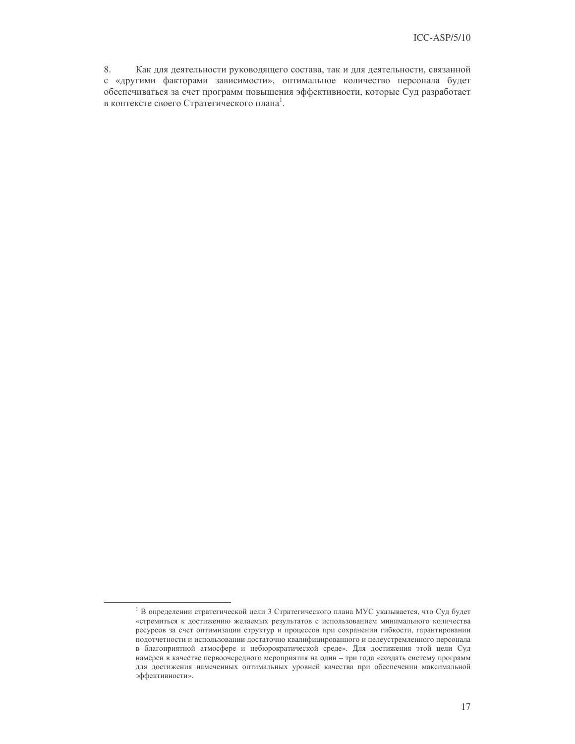8. Как для деятельности руководящего состава, так и для деятельности, связанной с «другими факторами зависимости», оптимальное количество персонала будет обеспечиваться за счет программ повышения эффективности, которые Суд разработает в контексте своего Стратегического плана<sup>1</sup>.

 $1 B$  определении стратегической цели 3 Стратегического плана МУС указывается, что Суд будет «стремиться к достижению желаемых результатов с использованием минимального количества ресурсов за счет оптимизации структур и процессов при сохранении гибкости, гарантировании подотчетности и использовании достаточно квалифицированного и целеустремленного персонала в благоприятной атмосфере и небюрократической среде». Для достижения этой цели Суд намерен в качестве первоочередного мероприятия на один - три года «создать систему программ для достижения намеченных оптимальных уровней качества при обеспечении максимальной эффективности».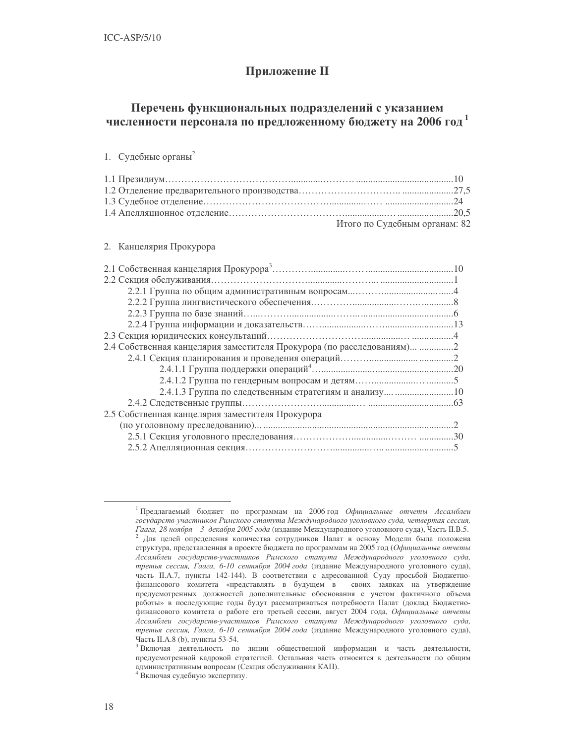## Приложение П

## Перечень функциональных подразделений с указанием численности персонала по предложенному бюджету на 2006 год<sup>1</sup>

### 1. Судебные органы<sup>2</sup>

| Итого по Судебным органам: 82 |
|-------------------------------|

### 2. Канцелярия Прокурора

| 2.4 Собственная канцелярия заместителя Прокурора (по расследованиям) 2 |  |
|------------------------------------------------------------------------|--|
|                                                                        |  |
|                                                                        |  |
|                                                                        |  |
|                                                                        |  |
|                                                                        |  |
| 2.5 Собственная канцелярия заместителя Прокурора                       |  |
|                                                                        |  |
|                                                                        |  |
|                                                                        |  |

<sup>&</sup>lt;sup>1</sup> Предлагаемый бюджет по программам на 2006 год Официальные отчеты Ассамблеи государств-участников Римского статута Международного уголовного суда, четвертая сессия, Гаага, 28 ноября - 3 декабря 2005 года (издание Международного уголовного суда), Часть II.B.5. 2 Для целей определения количества сотрудников Палат в основу Модели была положена структура, представленная в проекте бюджета по программам на 2005 год (Официальные отчеты Ассамблеи государств-участников Римского статута Международного уголовного суда, третья сессия, Гаага, 6-10 сентября 2004 года (издание Международного уголовного суда), часть II.А.7, пункты 142-144). В соответствии с адресованной Суду просьбой Бюджетнофинансового комитета «представлять в будущем в своих заявках на утверждение предусмотренных должностей дополнительные обоснования с учетом фактичного объема работы» в последующие годы будут рассматриваться потребности Палат (доклад Бюджетнофинансового комитета о работе его третьей сессии, август 2004 года, Официальные отчеты Ассамблеи государств-участников Римского статута Международного уголовного суда, третья сессия, Гаага, 6-10 сентября 2004 года (издание Международного уголовного суда), Часть II.А.8 (b), пункты 53-54.

<sup>&</sup>lt;sup>3</sup> Включая деятельность по линии общественной информации и часть деятельности, предусмотренной кадровой стратегией. Остальная часть относится к деятельности по общим административным вопросам (Секция обслуживания КАП).

<sup>&</sup>lt;sup>4</sup> Включая судебную экспертизу.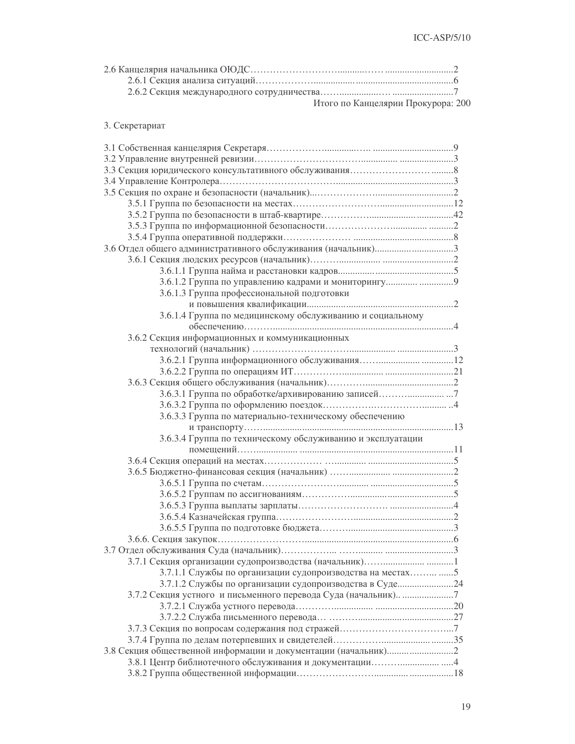| Итого по Канцелярии Прокурора: 200 |  |
|------------------------------------|--|

### 3. Секретариат

| 3.6.1.2 Группа по управлению кадрами и мониторингу  9       |  |
|-------------------------------------------------------------|--|
| 3.6.1.3 Группа профессиональной подготовки                  |  |
|                                                             |  |
| 3.6.1.4 Группа по медицинскому обслуживанию и социальному   |  |
|                                                             |  |
| 3.6.2 Секция информационных и коммуникационных              |  |
|                                                             |  |
|                                                             |  |
|                                                             |  |
|                                                             |  |
|                                                             |  |
|                                                             |  |
| 3.6.3.3 Группа по материально-техническому обеспечению      |  |
|                                                             |  |
| 3.6.3.4 Группа по техническому обслуживанию и эксплуатации  |  |
|                                                             |  |
|                                                             |  |
|                                                             |  |
|                                                             |  |
|                                                             |  |
|                                                             |  |
|                                                             |  |
|                                                             |  |
|                                                             |  |
|                                                             |  |
|                                                             |  |
|                                                             |  |
| 3.7.1.1 Службы по организации судопроизводства на местах  5 |  |
| 3.7.1.2 Службы по организации судопроизводства в Суде 24    |  |
|                                                             |  |
|                                                             |  |
|                                                             |  |
|                                                             |  |
|                                                             |  |
|                                                             |  |
|                                                             |  |
|                                                             |  |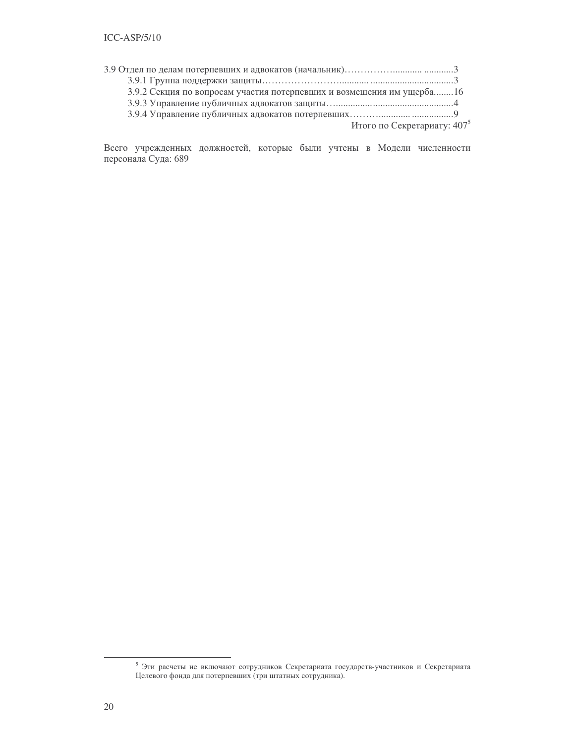| 3.9.2 Секция по вопросам участия потерпевших и возмещения им ущерба16 |                                |
|-----------------------------------------------------------------------|--------------------------------|
|                                                                       |                                |
|                                                                       |                                |
|                                                                       | Итого по Секретариату: $407^5$ |

Всего учрежденных должностей, которые были учтены в Модели численности персонала Суда: 689

 $^5$ Эти расчеты не включают сотрудников Секретариата государств-участников и Секретариата Целевого фонда для потерпевших (три штатных сотрудника).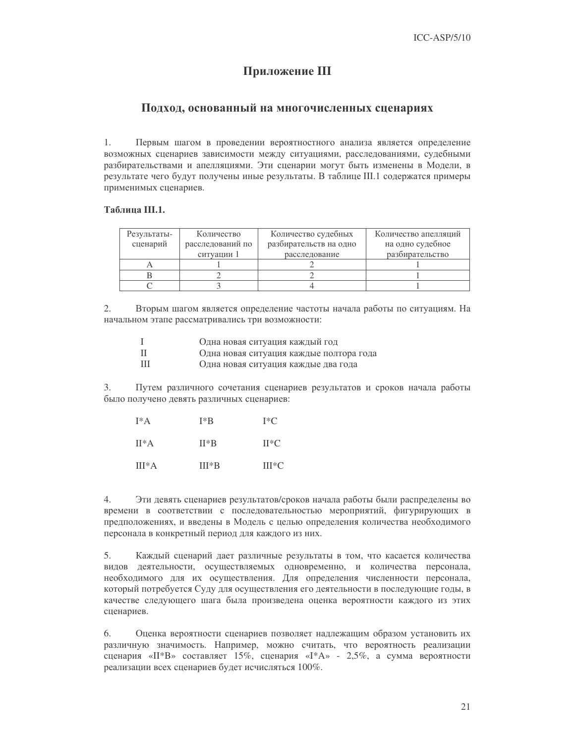## Приложение III

### Подход, основанный на многочисленных сценариях

Первым шагом в проведении вероятностного анализа является определение 1. возможных сценариев зависимости между ситуациями, расследованиями, судебными разбирательствами и апелляциями. Эти сценарии могут быть изменены в Модели, в результате чего будут получены иные результаты. В таблице III.1 содержатся примеры применимых сценариев.

### Таблица III.1.

| Результаты- | Количество       | Количество судебных    | Количество апелляций |  |
|-------------|------------------|------------------------|----------------------|--|
| сценарий    | расследований по | разбирательств на одно | на одно судебное     |  |
|             | ситуации 1       | расследование          | разбирательство      |  |
|             |                  |                        |                      |  |
|             |                  |                        |                      |  |
|             |                  |                        |                      |  |

2. Вторым шагом является определение частоты начала работы по ситуациям. На начальном этапе рассматривались три возможности:

|      | Одна новая ситуация каждый год          |
|------|-----------------------------------------|
| - 11 | Одна новая ситуация каждые полтора года |
| Ш    | Одна новая ситуация каждые два года     |

 $3.$ Путем различного сочетания сценариев результатов и сроков начала работы было получено девять различных сценариев:

| $I^*A$   | $I^*B$  | $I^*C$  |
|----------|---------|---------|
| $II^*A$  | $II*B$  | $H^*C$  |
| $III^*A$ | $III*B$ | $III*C$ |

4. Эти девять сценариев результатов/сроков начала работы были распределены во времени в соответствии с последовательностью мероприятий, фигурирующих в предположениях, и введены в Модель с целью определения количества необходимого персонала в конкретный период для каждого из них.

 $5<sub>1</sub>$ Каждый сценарий дает различные результаты в том, что касается количества видов деятельности, осуществляемых одновременно, и количества персонала, необходимого для их осуществления. Для определения численности персонала, который потребуется Суду для осуществления его деятельности в последующие годы, в качестве следующего шага была произведена оценка вероятности каждого из этих сценариев.

6. Оценка вероятности сценариев позволяет надлежащим образом установить их различную значимость. Например, можно считать, что вероятность реализации сценария «II\*B» составляет 15%, сценария «I\*A» - 2,5%, а сумма вероятности реализации всех сценариев будет исчисляться 100%.